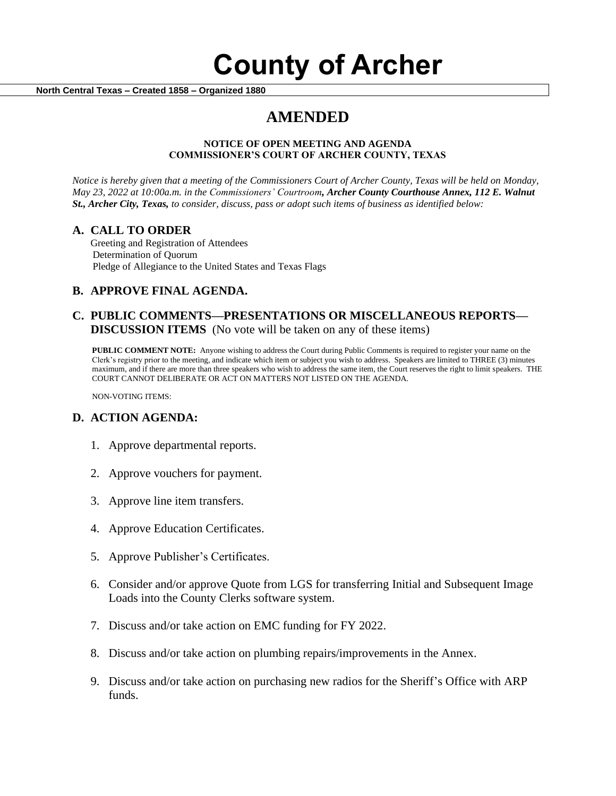# **County of Archer**

 **North Central Texas – Created 1858 – Organized 1880**

## **AMENDED**

#### **NOTICE OF OPEN MEETING AND AGENDA COMMISSIONER'S COURT OF ARCHER COUNTY, TEXAS**

*Notice is hereby given that a meeting of the Commissioners Court of Archer County, Texas will be held on Monday, May 23, 2022 at 10:00a.m. in the Commissioners' Courtroom, Archer County Courthouse Annex, 112 E. Walnut St., Archer City, Texas, to consider, discuss, pass or adopt such items of business as identified below:*

#### **A. CALL TO ORDER**

 Greeting and Registration of Attendees Determination of Quorum Pledge of Allegiance to the United States and Texas Flags

### **B. APPROVE FINAL AGENDA.**

#### **C. PUBLIC COMMENTS—PRESENTATIONS OR MISCELLANEOUS REPORTS— DISCUSSION ITEMS** (No vote will be taken on any of these items)

**PUBLIC COMMENT NOTE:** Anyone wishing to address the Court during Public Comments is required to register your name on the Clerk's registry prior to the meeting, and indicate which item or subject you wish to address. Speakers are limited to THREE (3) minutes maximum, and if there are more than three speakers who wish to address the same item, the Court reserves the right to limit speakers. THE COURT CANNOT DELIBERATE OR ACT ON MATTERS NOT LISTED ON THE AGENDA.

NON-VOTING ITEMS:

#### **D. ACTION AGENDA:**

- 1. Approve departmental reports.
- 2. Approve vouchers for payment.
- 3. Approve line item transfers.
- 4. Approve Education Certificates.
- 5. Approve Publisher's Certificates.
- 6. Consider and/or approve Quote from LGS for transferring Initial and Subsequent Image Loads into the County Clerks software system.
- 7. Discuss and/or take action on EMC funding for FY 2022.
- 8. Discuss and/or take action on plumbing repairs/improvements in the Annex.
- 9. Discuss and/or take action on purchasing new radios for the Sheriff's Office with ARP funds.